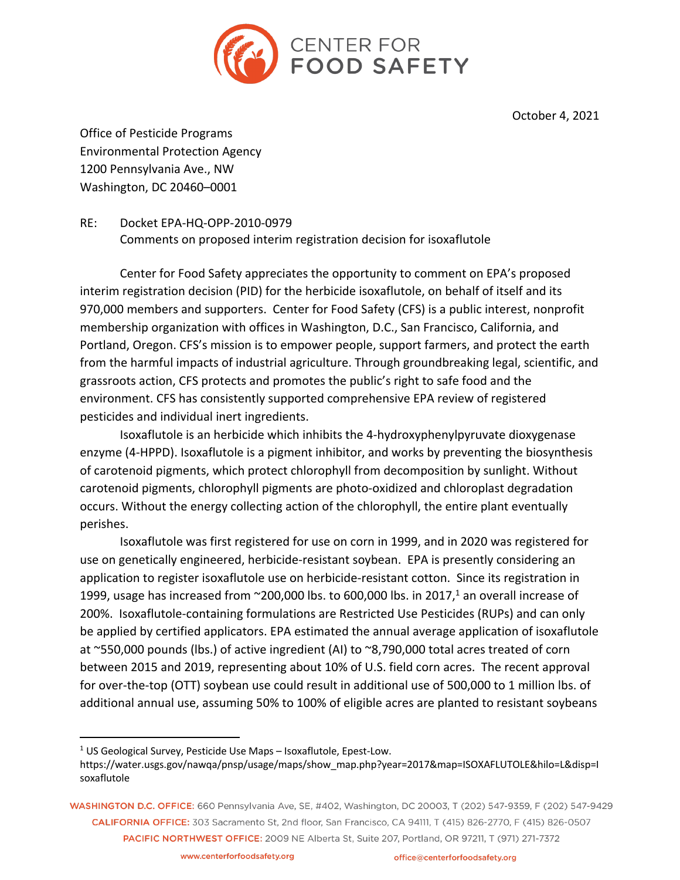

October 4, 2021

Office of Pesticide Programs Environmental Protection Agency 1200 Pennsylvania Ave., NW Washington, DC 20460–0001

RE: Docket EPA-HQ-OPP-2010-0979 Comments on proposed interim registration decision for isoxaflutole

Center for Food Safety appreciates the opportunity to comment on EPA's proposed interim registration decision (PID) for the herbicide isoxaflutole, on behalf of itself and its 970,000 members and supporters. Center for Food Safety (CFS) is a public interest, nonprofit membership organization with offices in Washington, D.C., San Francisco, California, and Portland, Oregon. CFS's mission is to empower people, support farmers, and protect the earth from the harmful impacts of industrial agriculture. Through groundbreaking legal, scientific, and grassroots action, CFS protects and promotes the public's right to safe food and the environment. CFS has consistently supported comprehensive EPA review of registered pesticides and individual inert ingredients.

Isoxaflutole is an herbicide which inhibits the 4-hydroxyphenylpyruvate dioxygenase enzyme (4-HPPD). Isoxaflutole is a pigment inhibitor, and works by preventing the biosynthesis of carotenoid pigments, which protect chlorophyll from decomposition by sunlight. Without carotenoid pigments, chlorophyll pigments are photo-oxidized and chloroplast degradation occurs. Without the energy collecting action of the chlorophyll, the entire plant eventually perishes.

Isoxaflutole was first registered for use on corn in 1999, and in 2020 was registered for use on genetically engineered, herbicide-resistant soybean. EPA is presently considering an application to register isoxaflutole use on herbicide-resistant cotton. Since its registration in 1999, usage has increased from  $\sim$ 200,000 lbs. to 600,000 lbs. in 2017,<sup>1</sup> an overall increase of 200%. Isoxaflutole-containing formulations are Restricted Use Pesticides (RUPs) and can only be applied by certified applicators. EPA estimated the annual average application of isoxaflutole at ~550,000 pounds (lbs.) of active ingredient (AI) to ~8,790,000 total acres treated of corn between 2015 and 2019, representing about 10% of U.S. field corn acres. The recent approval for over-the-top (OTT) soybean use could result in additional use of 500,000 to 1 million lbs. of additional annual use, assuming 50% to 100% of eligible acres are planted to resistant soybeans

 $1$  US Geological Survey, Pesticide Use Maps  $-$  Isoxaflutole, Epest-Low.

https://water.usgs.gov/nawqa/pnsp/usage/maps/show\_map.php?year=2017&map=ISOXAFLUTOLE&hilo=L&disp=I soxaflutole

WASHINGTON D.C. OFFICE: 660 Pennsylvania Ave, SE, #402, Washington, DC 20003, T (202) 547-9359, F (202) 547-9429 CALIFORNIA OFFICE: 303 Sacramento St. 2nd floor. San Francisco, CA 94111. T (415) 826-2770. F (415) 826-0507 PACIFIC NORTHWEST OFFICE: 2009 NE Alberta St, Suite 207, Portland, OR 97211, T (971) 271-7372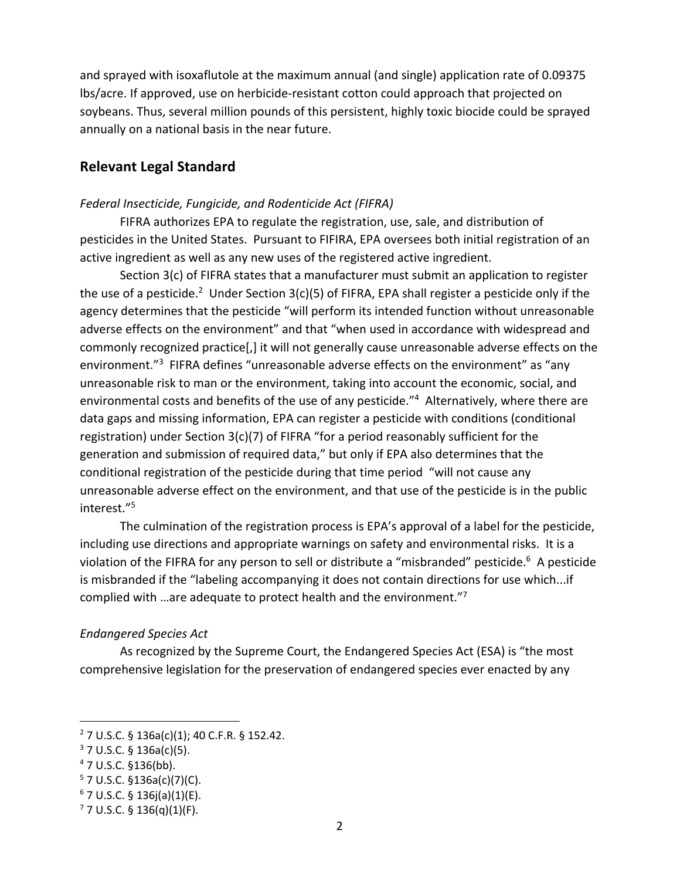and sprayed with isoxaflutole at the maximum annual (and single) application rate of 0.09375 lbs/acre. If approved, use on herbicide-resistant cotton could approach that projected on soybeans. Thus, several million pounds of this persistent, highly toxic biocide could be sprayed annually on a national basis in the near future.

## **Relevant Legal Standard**

### *Federal Insecticide, Fungicide, and Rodenticide Act (FIFRA)*

FIFRA authorizes EPA to regulate the registration, use, sale, and distribution of pesticides in the United States. Pursuant to FIFIRA, EPA oversees both initial registration of an active ingredient as well as any new uses of the registered active ingredient.

Section 3(c) of FIFRA states that a manufacturer must submit an application to register the use of a pesticide.<sup>2</sup> Under Section 3(c)(5) of FIFRA, EPA shall register a pesticide only if the agency determines that the pesticide "will perform its intended function without unreasonable adverse effects on the environment" and that "when used in accordance with widespread and commonly recognized practice[,] it will not generally cause unreasonable adverse effects on the environment."<sup>3</sup> FIFRA defines "unreasonable adverse effects on the environment" as "any unreasonable risk to man or the environment, taking into account the economic, social, and environmental costs and benefits of the use of any pesticide."<sup>4</sup> Alternatively, where there are data gaps and missing information, EPA can register a pesticide with conditions (conditional registration) under Section 3(c)(7) of FIFRA "for a period reasonably sufficient for the generation and submission of required data," but only if EPA also determines that the conditional registration of the pesticide during that time period "will not cause any unreasonable adverse effect on the environment, and that use of the pesticide is in the public interest."5

The culmination of the registration process is EPA's approval of a label for the pesticide, including use directions and appropriate warnings on safety and environmental risks. It is a violation of the FIFRA for any person to sell or distribute a "misbranded" pesticide.<sup>6</sup> A pesticide is misbranded if the "labeling accompanying it does not contain directions for use which...if complied with …are adequate to protect health and the environment."7

### *Endangered Species Act*

As recognized by the Supreme Court, the Endangered Species Act (ESA) is "the most comprehensive legislation for the preservation of endangered species ever enacted by any

<sup>2</sup> 7 U.S.C. § 136a(c)(1); 40 C.F.R. § 152.42.

 $3$  7 U.S.C. § 136a(c)(5).

 $4$  7 U.S.C. §136(bb).

 $5$  7 U.S.C. §136a(c)(7)(C).

 $6$  7 U.S.C. § 136j(a)(1)(E).

 $7$  7 U.S.C. § 136(q)(1)(F).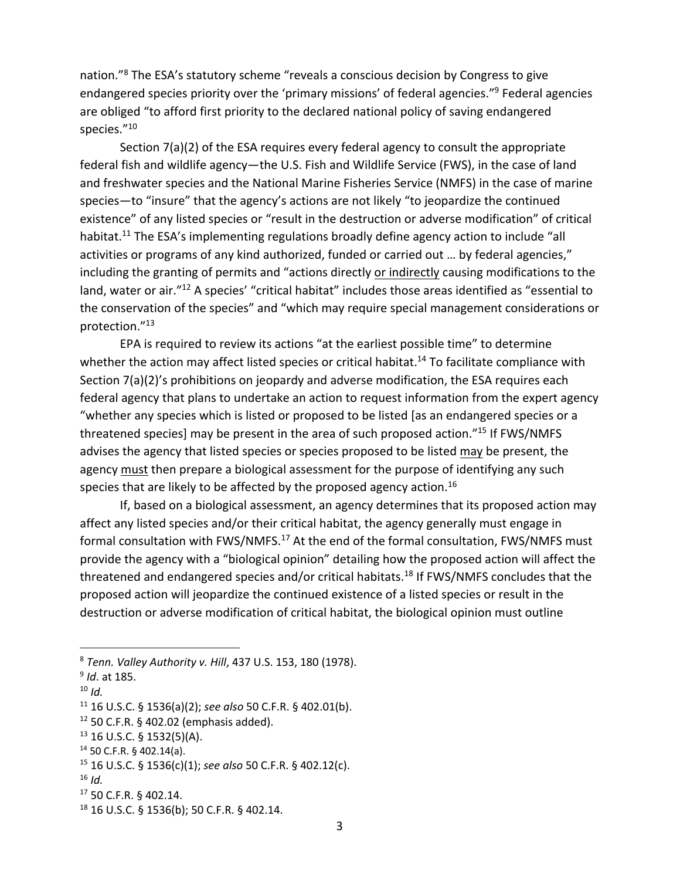nation."<sup>8</sup> The ESA's statutory scheme "reveals a conscious decision by Congress to give endangered species priority over the 'primary missions' of federal agencies."9 Federal agencies are obliged "to afford first priority to the declared national policy of saving endangered species."10

Section 7(a)(2) of the ESA requires every federal agency to consult the appropriate federal fish and wildlife agency—the U.S. Fish and Wildlife Service (FWS), in the case of land and freshwater species and the National Marine Fisheries Service (NMFS) in the case of marine species—to "insure" that the agency's actions are not likely "to jeopardize the continued existence" of any listed species or "result in the destruction or adverse modification" of critical habitat.<sup>11</sup> The ESA's implementing regulations broadly define agency action to include "all activities or programs of any kind authorized, funded or carried out … by federal agencies," including the granting of permits and "actions directly or indirectly causing modifications to the land, water or air."<sup>12</sup> A species' "critical habitat" includes those areas identified as "essential to the conservation of the species" and "which may require special management considerations or protection."13

EPA is required to review its actions "at the earliest possible time" to determine whether the action may affect listed species or critical habitat.<sup>14</sup> To facilitate compliance with Section 7(a)(2)'s prohibitions on jeopardy and adverse modification, the ESA requires each federal agency that plans to undertake an action to request information from the expert agency "whether any species which is listed or proposed to be listed [as an endangered species or a threatened species] may be present in the area of such proposed action."15 If FWS/NMFS advises the agency that listed species or species proposed to be listed may be present, the agency must then prepare a biological assessment for the purpose of identifying any such species that are likely to be affected by the proposed agency action.<sup>16</sup>

If, based on a biological assessment, an agency determines that its proposed action may affect any listed species and/or their critical habitat, the agency generally must engage in formal consultation with FWS/NMFS.<sup>17</sup> At the end of the formal consultation, FWS/NMFS must provide the agency with a "biological opinion" detailing how the proposed action will affect the threatened and endangered species and/or critical habitats.<sup>18</sup> If FWS/NMFS concludes that the proposed action will jeopardize the continued existence of a listed species or result in the destruction or adverse modification of critical habitat, the biological opinion must outline

 $16$  *Id.* 

<sup>8</sup> *Tenn. Valley Authority v. Hill*, 437 U.S. 153, 180 (1978).

<sup>9</sup> *Id*. at 185.

<sup>10</sup> *Id.*

<sup>11</sup> 16 U.S.C. § 1536(a)(2); *see also* 50 C.F.R. § 402.01(b).

 $12$  50 C.F.R. § 402.02 (emphasis added).

 $13$  16 U.S.C. § 1532(5)(A).

<sup>14</sup> 50 C.F.R. § 402.14(a).

<sup>15</sup> 16 U.S.C. § 1536(c)(1); *see also* 50 C.F.R. § 402.12(c).

<sup>17</sup> 50 C.F.R. § 402.14.

<sup>18</sup> 16 U.S.C. § 1536(b); 50 C.F.R. § 402.14.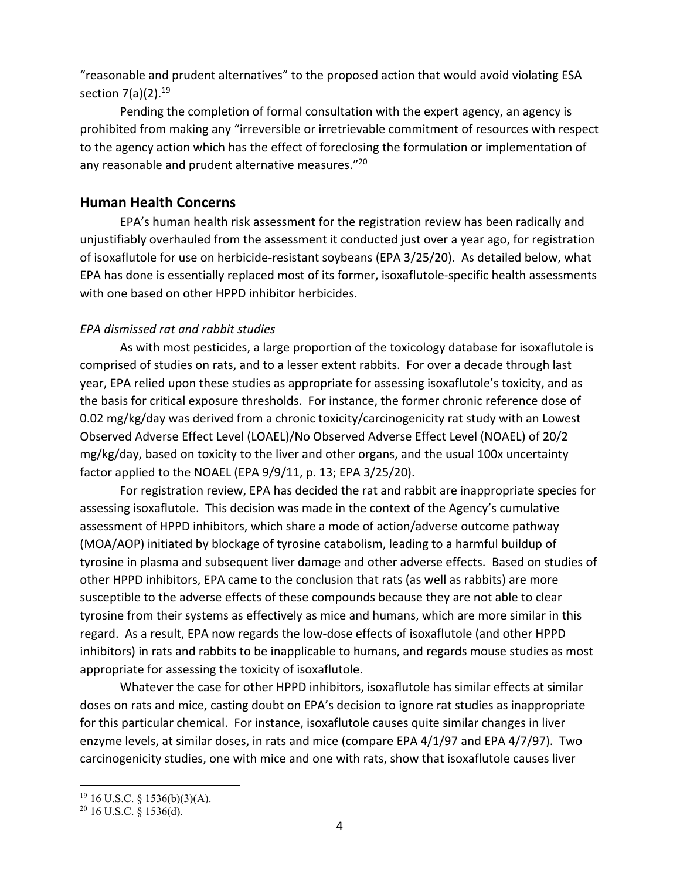"reasonable and prudent alternatives" to the proposed action that would avoid violating ESA section  $7(a)(2).^{19}$ 

Pending the completion of formal consultation with the expert agency, an agency is prohibited from making any "irreversible or irretrievable commitment of resources with respect to the agency action which has the effect of foreclosing the formulation or implementation of any reasonable and prudent alternative measures."<sup>20</sup>

## **Human Health Concerns**

EPA's human health risk assessment for the registration review has been radically and unjustifiably overhauled from the assessment it conducted just over a year ago, for registration of isoxaflutole for use on herbicide-resistant soybeans (EPA 3/25/20). As detailed below, what EPA has done is essentially replaced most of its former, isoxaflutole-specific health assessments with one based on other HPPD inhibitor herbicides.

## *EPA dismissed rat and rabbit studies*

As with most pesticides, a large proportion of the toxicology database for isoxaflutole is comprised of studies on rats, and to a lesser extent rabbits. For over a decade through last year, EPA relied upon these studies as appropriate for assessing isoxaflutole's toxicity, and as the basis for critical exposure thresholds. For instance, the former chronic reference dose of 0.02 mg/kg/day was derived from a chronic toxicity/carcinogenicity rat study with an Lowest Observed Adverse Effect Level (LOAEL)/No Observed Adverse Effect Level (NOAEL) of 20/2 mg/kg/day, based on toxicity to the liver and other organs, and the usual 100x uncertainty factor applied to the NOAEL (EPA 9/9/11, p. 13; EPA 3/25/20).

For registration review, EPA has decided the rat and rabbit are inappropriate species for assessing isoxaflutole. This decision was made in the context of the Agency's cumulative assessment of HPPD inhibitors, which share a mode of action/adverse outcome pathway (MOA/AOP) initiated by blockage of tyrosine catabolism, leading to a harmful buildup of tyrosine in plasma and subsequent liver damage and other adverse effects. Based on studies of other HPPD inhibitors, EPA came to the conclusion that rats (as well as rabbits) are more susceptible to the adverse effects of these compounds because they are not able to clear tyrosine from their systems as effectively as mice and humans, which are more similar in this regard. As a result, EPA now regards the low-dose effects of isoxaflutole (and other HPPD inhibitors) in rats and rabbits to be inapplicable to humans, and regards mouse studies as most appropriate for assessing the toxicity of isoxaflutole.

Whatever the case for other HPPD inhibitors, isoxaflutole has similar effects at similar doses on rats and mice, casting doubt on EPA's decision to ignore rat studies as inappropriate for this particular chemical. For instance, isoxaflutole causes quite similar changes in liver enzyme levels, at similar doses, in rats and mice (compare EPA 4/1/97 and EPA 4/7/97). Two carcinogenicity studies, one with mice and one with rats, show that isoxaflutole causes liver

 $19$  16 U.S.C. § 1536(b)(3)(A).

 $20$  16 U.S.C. § 1536(d).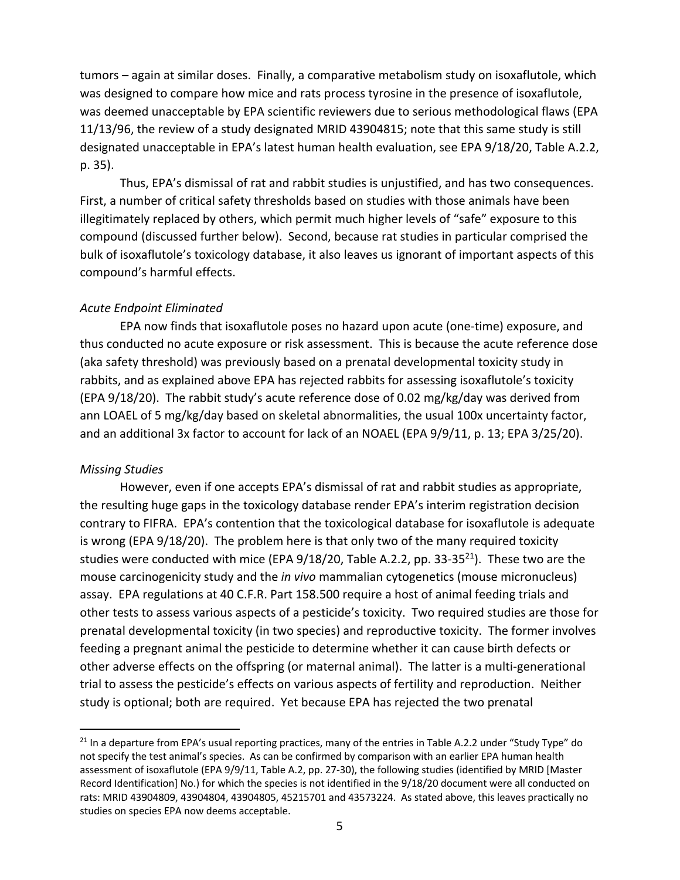tumors – again at similar doses. Finally, a comparative metabolism study on isoxaflutole, which was designed to compare how mice and rats process tyrosine in the presence of isoxaflutole, was deemed unacceptable by EPA scientific reviewers due to serious methodological flaws (EPA 11/13/96, the review of a study designated MRID 43904815; note that this same study is still designated unacceptable in EPA's latest human health evaluation, see EPA 9/18/20, Table A.2.2, p. 35).

Thus, EPA's dismissal of rat and rabbit studies is unjustified, and has two consequences. First, a number of critical safety thresholds based on studies with those animals have been illegitimately replaced by others, which permit much higher levels of "safe" exposure to this compound (discussed further below). Second, because rat studies in particular comprised the bulk of isoxaflutole's toxicology database, it also leaves us ignorant of important aspects of this compound's harmful effects.

### *Acute Endpoint Eliminated*

EPA now finds that isoxaflutole poses no hazard upon acute (one-time) exposure, and thus conducted no acute exposure or risk assessment. This is because the acute reference dose (aka safety threshold) was previously based on a prenatal developmental toxicity study in rabbits, and as explained above EPA has rejected rabbits for assessing isoxaflutole's toxicity (EPA 9/18/20). The rabbit study's acute reference dose of 0.02 mg/kg/day was derived from ann LOAEL of 5 mg/kg/day based on skeletal abnormalities, the usual 100x uncertainty factor, and an additional 3x factor to account for lack of an NOAEL (EPA 9/9/11, p. 13; EPA 3/25/20).

#### *Missing Studies*

However, even if one accepts EPA's dismissal of rat and rabbit studies as appropriate, the resulting huge gaps in the toxicology database render EPA's interim registration decision contrary to FIFRA. EPA's contention that the toxicological database for isoxaflutole is adequate is wrong (EPA 9/18/20). The problem here is that only two of the many required toxicity studies were conducted with mice (EPA  $9/18/20$ , Table A.2.2, pp. 33-35<sup>21</sup>). These two are the mouse carcinogenicity study and the *in vivo* mammalian cytogenetics (mouse micronucleus) assay. EPA regulations at 40 C.F.R. Part 158.500 require a host of animal feeding trials and other tests to assess various aspects of a pesticide's toxicity. Two required studies are those for prenatal developmental toxicity (in two species) and reproductive toxicity. The former involves feeding a pregnant animal the pesticide to determine whether it can cause birth defects or other adverse effects on the offspring (or maternal animal). The latter is a multi-generational trial to assess the pesticide's effects on various aspects of fertility and reproduction. Neither study is optional; both are required. Yet because EPA has rejected the two prenatal

<sup>&</sup>lt;sup>21</sup> In a departure from EPA's usual reporting practices, many of the entries in Table A.2.2 under "Study Type" do not specify the test animal's species. As can be confirmed by comparison with an earlier EPA human health assessment of isoxaflutole (EPA 9/9/11, Table A.2, pp. 27-30), the following studies (identified by MRID [Master Record Identification] No.) for which the species is not identified in the 9/18/20 document were all conducted on rats: MRID 43904809, 43904804, 43904805, 45215701 and 43573224. As stated above, this leaves practically no studies on species EPA now deems acceptable.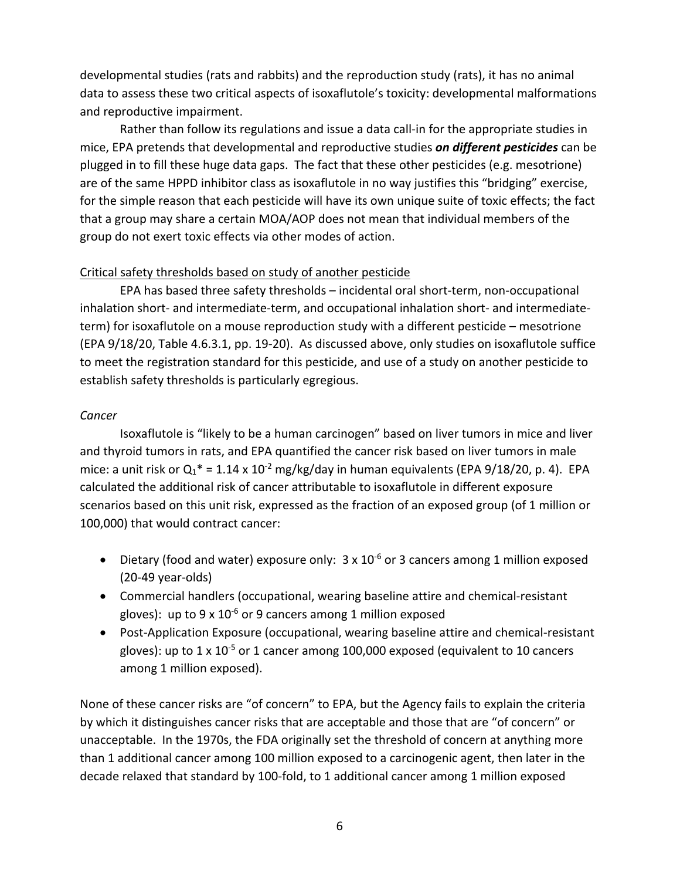developmental studies (rats and rabbits) and the reproduction study (rats), it has no animal data to assess these two critical aspects of isoxaflutole's toxicity: developmental malformations and reproductive impairment.

Rather than follow its regulations and issue a data call-in for the appropriate studies in mice, EPA pretends that developmental and reproductive studies *on different pesticides* can be plugged in to fill these huge data gaps. The fact that these other pesticides (e.g. mesotrione) are of the same HPPD inhibitor class as isoxaflutole in no way justifies this "bridging" exercise, for the simple reason that each pesticide will have its own unique suite of toxic effects; the fact that a group may share a certain MOA/AOP does not mean that individual members of the group do not exert toxic effects via other modes of action.

### Critical safety thresholds based on study of another pesticide

EPA has based three safety thresholds – incidental oral short-term, non-occupational inhalation short- and intermediate-term, and occupational inhalation short- and intermediateterm) for isoxaflutole on a mouse reproduction study with a different pesticide – mesotrione (EPA 9/18/20, Table 4.6.3.1, pp. 19-20). As discussed above, only studies on isoxaflutole suffice to meet the registration standard for this pesticide, and use of a study on another pesticide to establish safety thresholds is particularly egregious.

### *Cancer*

Isoxaflutole is "likely to be a human carcinogen" based on liver tumors in mice and liver and thyroid tumors in rats, and EPA quantified the cancer risk based on liver tumors in male mice: a unit risk or  $Q_1^* = 1.14 \times 10^{-2}$  mg/kg/day in human equivalents (EPA 9/18/20, p. 4). EPA calculated the additional risk of cancer attributable to isoxaflutole in different exposure scenarios based on this unit risk, expressed as the fraction of an exposed group (of 1 million or 100,000) that would contract cancer:

- Dietary (food and water) exposure only:  $3 \times 10^{-6}$  or 3 cancers among 1 million exposed (20-49 year-olds)
- Commercial handlers (occupational, wearing baseline attire and chemical-resistant gloves): up to 9 x  $10^{-6}$  or 9 cancers among 1 million exposed
- Post-Application Exposure (occupational, wearing baseline attire and chemical-resistant gloves): up to  $1 \times 10^{-5}$  or 1 cancer among 100,000 exposed (equivalent to 10 cancers among 1 million exposed).

None of these cancer risks are "of concern" to EPA, but the Agency fails to explain the criteria by which it distinguishes cancer risks that are acceptable and those that are "of concern" or unacceptable. In the 1970s, the FDA originally set the threshold of concern at anything more than 1 additional cancer among 100 million exposed to a carcinogenic agent, then later in the decade relaxed that standard by 100-fold, to 1 additional cancer among 1 million exposed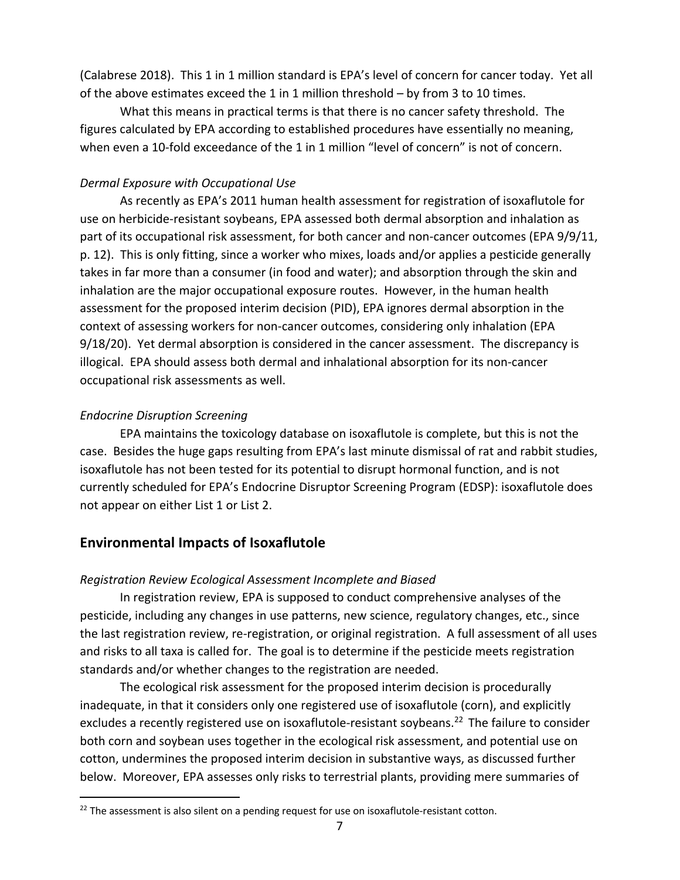(Calabrese 2018). This 1 in 1 million standard is EPA's level of concern for cancer today. Yet all of the above estimates exceed the 1 in 1 million threshold – by from 3 to 10 times.

What this means in practical terms is that there is no cancer safety threshold. The figures calculated by EPA according to established procedures have essentially no meaning, when even a 10-fold exceedance of the 1 in 1 million "level of concern" is not of concern.

### *Dermal Exposure with Occupational Use*

As recently as EPA's 2011 human health assessment for registration of isoxaflutole for use on herbicide-resistant soybeans, EPA assessed both dermal absorption and inhalation as part of its occupational risk assessment, for both cancer and non-cancer outcomes (EPA 9/9/11, p. 12). This is only fitting, since a worker who mixes, loads and/or applies a pesticide generally takes in far more than a consumer (in food and water); and absorption through the skin and inhalation are the major occupational exposure routes. However, in the human health assessment for the proposed interim decision (PID), EPA ignores dermal absorption in the context of assessing workers for non-cancer outcomes, considering only inhalation (EPA 9/18/20). Yet dermal absorption is considered in the cancer assessment. The discrepancy is illogical. EPA should assess both dermal and inhalational absorption for its non-cancer occupational risk assessments as well.

## *Endocrine Disruption Screening*

EPA maintains the toxicology database on isoxaflutole is complete, but this is not the case. Besides the huge gaps resulting from EPA's last minute dismissal of rat and rabbit studies, isoxaflutole has not been tested for its potential to disrupt hormonal function, and is not currently scheduled for EPA's Endocrine Disruptor Screening Program (EDSP): isoxaflutole does not appear on either List 1 or List 2.

# **Environmental Impacts of Isoxaflutole**

## *Registration Review Ecological Assessment Incomplete and Biased*

In registration review, EPA is supposed to conduct comprehensive analyses of the pesticide, including any changes in use patterns, new science, regulatory changes, etc., since the last registration review, re-registration, or original registration. A full assessment of all uses and risks to all taxa is called for. The goal is to determine if the pesticide meets registration standards and/or whether changes to the registration are needed.

The ecological risk assessment for the proposed interim decision is procedurally inadequate, in that it considers only one registered use of isoxaflutole (corn), and explicitly excludes a recently registered use on isoxaflutole-resistant soybeans.<sup>22</sup> The failure to consider both corn and soybean uses together in the ecological risk assessment, and potential use on cotton, undermines the proposed interim decision in substantive ways, as discussed further below. Moreover, EPA assesses only risks to terrestrial plants, providing mere summaries of

 $22$  The assessment is also silent on a pending request for use on isoxaflutole-resistant cotton.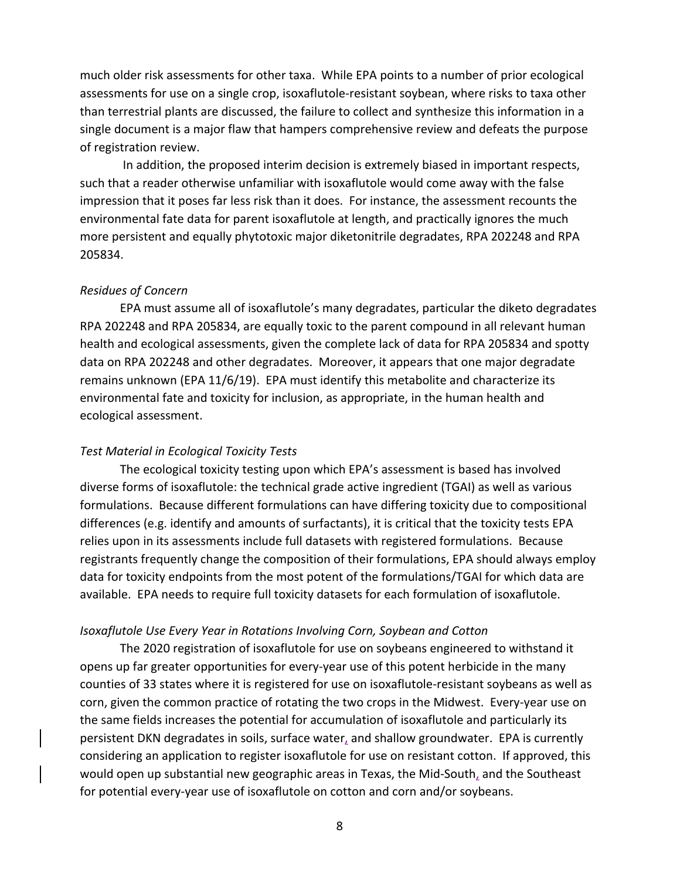much older risk assessments for other taxa. While EPA points to a number of prior ecological assessments for use on a single crop, isoxaflutole-resistant soybean, where risks to taxa other than terrestrial plants are discussed, the failure to collect and synthesize this information in a single document is a major flaw that hampers comprehensive review and defeats the purpose of registration review.

In addition, the proposed interim decision is extremely biased in important respects, such that a reader otherwise unfamiliar with isoxaflutole would come away with the false impression that it poses far less risk than it does. For instance, the assessment recounts the environmental fate data for parent isoxaflutole at length, and practically ignores the much more persistent and equally phytotoxic major diketonitrile degradates, RPA 202248 and RPA 205834.

### *Residues of Concern*

EPA must assume all of isoxaflutole's many degradates, particular the diketo degradates RPA 202248 and RPA 205834, are equally toxic to the parent compound in all relevant human health and ecological assessments, given the complete lack of data for RPA 205834 and spotty data on RPA 202248 and other degradates. Moreover, it appears that one major degradate remains unknown (EPA 11/6/19). EPA must identify this metabolite and characterize its environmental fate and toxicity for inclusion, as appropriate, in the human health and ecological assessment.

### *Test Material in Ecological Toxicity Tests*

The ecological toxicity testing upon which EPA's assessment is based has involved diverse forms of isoxaflutole: the technical grade active ingredient (TGAI) as well as various formulations. Because different formulations can have differing toxicity due to compositional differences (e.g. identify and amounts of surfactants), it is critical that the toxicity tests EPA relies upon in its assessments include full datasets with registered formulations. Because registrants frequently change the composition of their formulations, EPA should always employ data for toxicity endpoints from the most potent of the formulations/TGAI for which data are available. EPA needs to require full toxicity datasets for each formulation of isoxaflutole.

#### *Isoxaflutole Use Every Year in Rotations Involving Corn, Soybean and Cotton*

The 2020 registration of isoxaflutole for use on soybeans engineered to withstand it opens up far greater opportunities for every-year use of this potent herbicide in the many counties of 33 states where it is registered for use on isoxaflutole-resistant soybeans as well as corn, given the common practice of rotating the two crops in the Midwest. Every-year use on the same fields increases the potential for accumulation of isoxaflutole and particularly its persistent DKN degradates in soils, surface water, and shallow groundwater. EPA is currently considering an application to register isoxaflutole for use on resistant cotton. If approved, this would open up substantial new geographic areas in Texas, the Mid-South, and the Southeast for potential every-year use of isoxaflutole on cotton and corn and/or soybeans.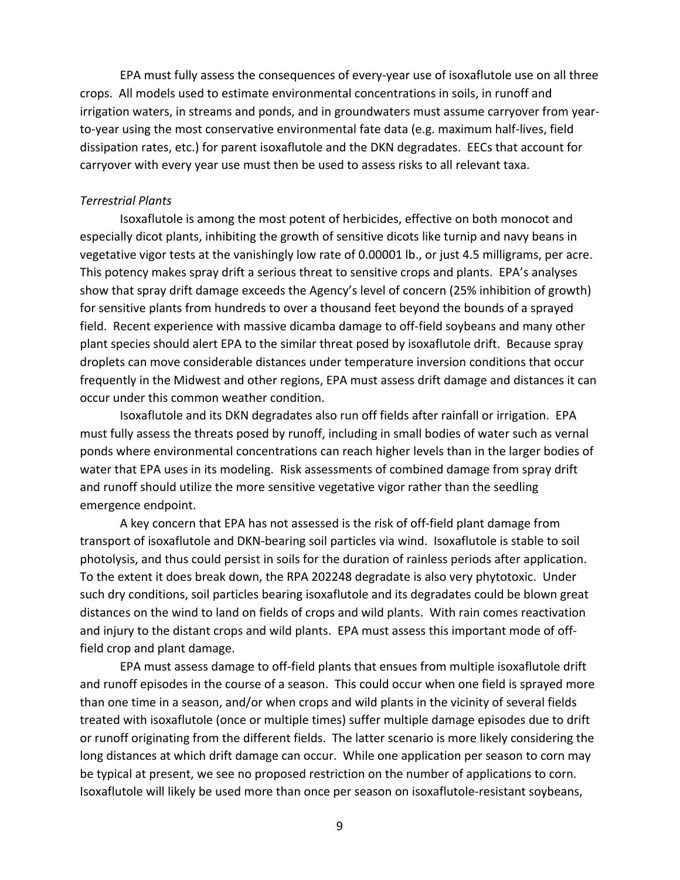EPA must fully assess the consequences of every-year use of isoxaflutole use on all three crops. All models used to estimate environmental concentrations in soils, in runoff and irrigation waters, in streams and ponds, and in groundwaters must assume carryover from yearto-year using the most conservative environmental fate data (e.g. maximum half-lives, field dissipation rates, etc.) for parent isoxaflutole and the DKN degradates. EECs that account for carryover with every year use must then be used to assess risks to all relevant taxa.

#### *Terrestrial Plants*

Isoxaflutole is among the most potent of herbicides, effective on both monocot and especially dicot plants, inhibiting the growth of sensitive dicots like turnip and navy beans in vegetative vigor tests at the vanishingly low rate of 0.00001 lb., or just 4.5 milligrams, per acre. This potency makes spray drift a serious threat to sensitive crops and plants. EPA's analyses show that spray drift damage exceeds the Agency's level of concern (25% inhibition of growth) for sensitive plants from hundreds to over a thousand feet beyond the bounds of a sprayed field. Recent experience with massive dicamba damage to off-field soybeans and many other plant species should alert EPA to the similar threat posed by isoxaflutole drift. Because spray droplets can move considerable distances under temperature inversion conditions that occur frequently in the Midwest and other regions, EPA must assess drift damage and distances it can occur under this common weather condition.

Isoxaflutole and its DKN degradates also run off fields after rainfall or irrigation. EPA must fully assess the threats posed by runoff, including in small bodies of water such as vernal ponds where environmental concentrations can reach higher levels than in the larger bodies of water that EPA uses in its modeling. Risk assessments of combined damage from spray drift and runoff should utilize the more sensitive vegetative vigor rather than the seedling emergence endpoint.

A key concern that EPA has not assessed is the risk of off-field plant damage from transport of isoxaflutole and DKN-bearing soil particles via wind. Isoxaflutole is stable to soil photolysis, and thus could persist in soils for the duration of rainless periods after application. To the extent it does break down, the RPA 202248 degradate is also very phytotoxic. Under such dry conditions, soil particles bearing isoxaflutole and its degradates could be blown great distances on the wind to land on fields of crops and wild plants. With rain comes reactivation and injury to the distant crops and wild plants. EPA must assess this important mode of offfield crop and plant damage.

EPA must assess damage to off-field plants that ensues from multiple isoxaflutole drift and runoff episodes in the course of a season. This could occur when one field is sprayed more than one time in a season, and/or when crops and wild plants in the vicinity of several fields treated with isoxaflutole (once or multiple times) suffer multiple damage episodes due to drift or runoff originating from the different fields. The latter scenario is more likely considering the long distances at which drift damage can occur. While one application per season to corn may be typical at present, we see no proposed restriction on the number of applications to corn. Isoxaflutole will likely be used more than once per season on isoxaflutole-resistant soybeans,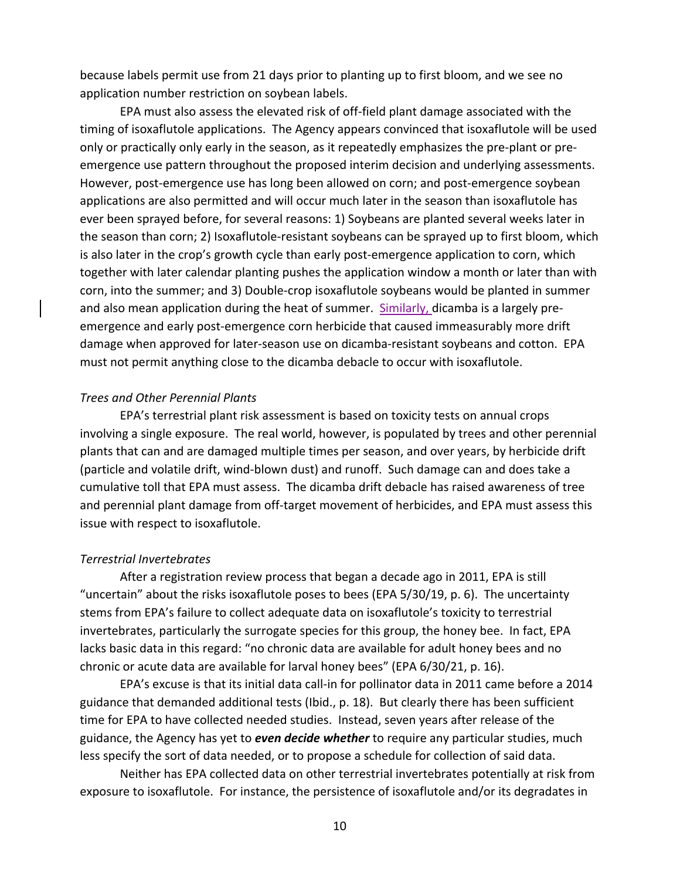because labels permit use from 21 days prior to planting up to first bloom, and we see no application number restriction on soybean labels.

EPA must also assess the elevated risk of off-field plant damage associated with the timing of isoxaflutole applications. The Agency appears convinced that isoxaflutole will be used only or practically only early in the season, as it repeatedly emphasizes the pre-plant or preemergence use pattern throughout the proposed interim decision and underlying assessments. However, post-emergence use has long been allowed on corn; and post-emergence soybean applications are also permitted and will occur much later in the season than isoxaflutole has ever been sprayed before, for several reasons: 1) Soybeans are planted several weeks later in the season than corn; 2) Isoxaflutole-resistant soybeans can be sprayed up to first bloom, which is also later in the crop's growth cycle than early post-emergence application to corn, which together with later calendar planting pushes the application window a month or later than with corn, into the summer; and 3) Double-crop isoxaflutole soybeans would be planted in summer and also mean application during the heat of summer. Similarly, dicamba is a largely preemergence and early post-emergence corn herbicide that caused immeasurably more drift damage when approved for later-season use on dicamba-resistant soybeans and cotton. EPA must not permit anything close to the dicamba debacle to occur with isoxaflutole.

#### *Trees and Other Perennial Plants*

EPA's terrestrial plant risk assessment is based on toxicity tests on annual crops involving a single exposure. The real world, however, is populated by trees and other perennial plants that can and are damaged multiple times per season, and over years, by herbicide drift (particle and volatile drift, wind-blown dust) and runoff. Such damage can and does take a cumulative toll that EPA must assess. The dicamba drift debacle has raised awareness of tree and perennial plant damage from off-target movement of herbicides, and EPA must assess this issue with respect to isoxaflutole.

#### *Terrestrial Invertebrates*

After a registration review process that began a decade ago in 2011, EPA is still "uncertain" about the risks isoxaflutole poses to bees (EPA 5/30/19, p. 6). The uncertainty stems from EPA's failure to collect adequate data on isoxaflutole's toxicity to terrestrial invertebrates, particularly the surrogate species for this group, the honey bee. In fact, EPA lacks basic data in this regard: "no chronic data are available for adult honey bees and no chronic or acute data are available for larval honey bees" (EPA 6/30/21, p. 16).

EPA's excuse is that its initial data call-in for pollinator data in 2011 came before a 2014 guidance that demanded additional tests (Ibid., p. 18). But clearly there has been sufficient time for EPA to have collected needed studies. Instead, seven years after release of the guidance, the Agency has yet to *even decide whether* to require any particular studies, much less specify the sort of data needed, or to propose a schedule for collection of said data.

Neither has EPA collected data on other terrestrial invertebrates potentially at risk from exposure to isoxaflutole. For instance, the persistence of isoxaflutole and/or its degradates in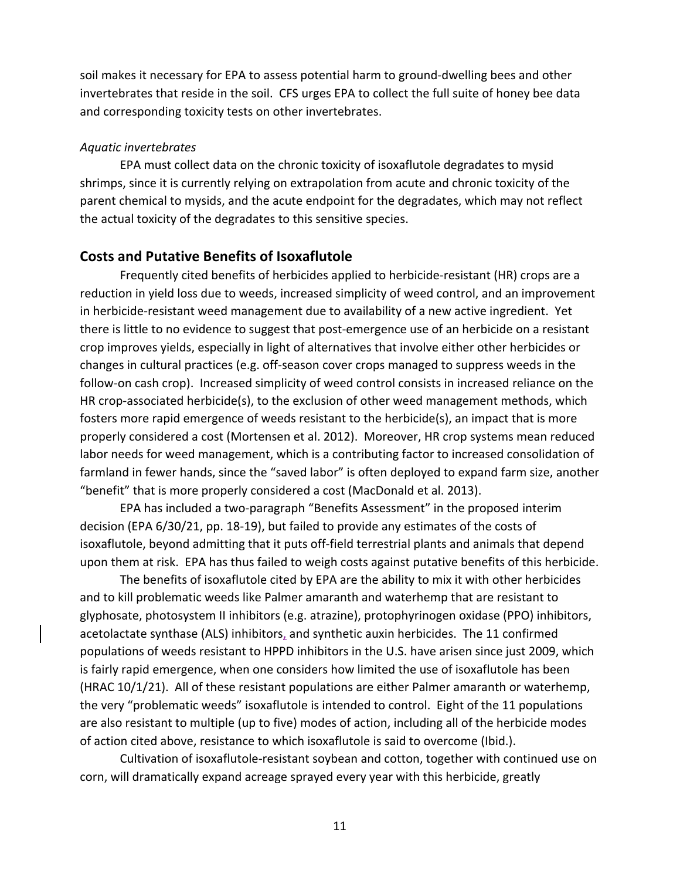soil makes it necessary for EPA to assess potential harm to ground-dwelling bees and other invertebrates that reside in the soil. CFS urges EPA to collect the full suite of honey bee data and corresponding toxicity tests on other invertebrates.

#### *Aquatic invertebrates*

EPA must collect data on the chronic toxicity of isoxaflutole degradates to mysid shrimps, since it is currently relying on extrapolation from acute and chronic toxicity of the parent chemical to mysids, and the acute endpoint for the degradates, which may not reflect the actual toxicity of the degradates to this sensitive species.

## **Costs and Putative Benefits of Isoxaflutole**

Frequently cited benefits of herbicides applied to herbicide-resistant (HR) crops are a reduction in yield loss due to weeds, increased simplicity of weed control, and an improvement in herbicide-resistant weed management due to availability of a new active ingredient. Yet there is little to no evidence to suggest that post-emergence use of an herbicide on a resistant crop improves yields, especially in light of alternatives that involve either other herbicides or changes in cultural practices (e.g. off-season cover crops managed to suppress weeds in the follow-on cash crop). Increased simplicity of weed control consists in increased reliance on the HR crop-associated herbicide(s), to the exclusion of other weed management methods, which fosters more rapid emergence of weeds resistant to the herbicide(s), an impact that is more properly considered a cost (Mortensen et al. 2012). Moreover, HR crop systems mean reduced labor needs for weed management, which is a contributing factor to increased consolidation of farmland in fewer hands, since the "saved labor" is often deployed to expand farm size, another "benefit" that is more properly considered a cost (MacDonald et al. 2013).

EPA has included a two-paragraph "Benefits Assessment" in the proposed interim decision (EPA 6/30/21, pp. 18-19), but failed to provide any estimates of the costs of isoxaflutole, beyond admitting that it puts off-field terrestrial plants and animals that depend upon them at risk. EPA has thus failed to weigh costs against putative benefits of this herbicide.

The benefits of isoxaflutole cited by EPA are the ability to mix it with other herbicides and to kill problematic weeds like Palmer amaranth and waterhemp that are resistant to glyphosate, photosystem II inhibitors (e.g. atrazine), protophyrinogen oxidase (PPO) inhibitors, acetolactate synthase (ALS) inhibitors, and synthetic auxin herbicides. The 11 confirmed populations of weeds resistant to HPPD inhibitors in the U.S. have arisen since just 2009, which is fairly rapid emergence, when one considers how limited the use of isoxaflutole has been (HRAC 10/1/21). All of these resistant populations are either Palmer amaranth or waterhemp, the very "problematic weeds" isoxaflutole is intended to control. Eight of the 11 populations are also resistant to multiple (up to five) modes of action, including all of the herbicide modes of action cited above, resistance to which isoxaflutole is said to overcome (Ibid.).

Cultivation of isoxaflutole-resistant soybean and cotton, together with continued use on corn, will dramatically expand acreage sprayed every year with this herbicide, greatly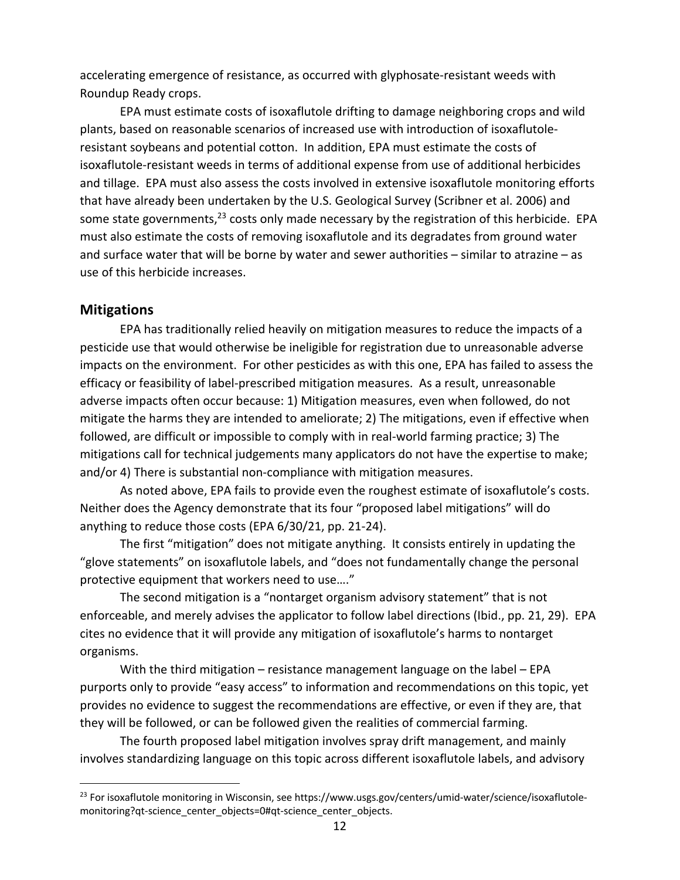accelerating emergence of resistance, as occurred with glyphosate-resistant weeds with Roundup Ready crops.

EPA must estimate costs of isoxaflutole drifting to damage neighboring crops and wild plants, based on reasonable scenarios of increased use with introduction of isoxaflutoleresistant soybeans and potential cotton. In addition, EPA must estimate the costs of isoxaflutole-resistant weeds in terms of additional expense from use of additional herbicides and tillage. EPA must also assess the costs involved in extensive isoxaflutole monitoring efforts that have already been undertaken by the U.S. Geological Survey (Scribner et al. 2006) and some state governments,<sup>23</sup> costs only made necessary by the registration of this herbicide. EPA must also estimate the costs of removing isoxaflutole and its degradates from ground water and surface water that will be borne by water and sewer authorities – similar to atrazine – as use of this herbicide increases.

### **Mitigations**

EPA has traditionally relied heavily on mitigation measures to reduce the impacts of a pesticide use that would otherwise be ineligible for registration due to unreasonable adverse impacts on the environment. For other pesticides as with this one, EPA has failed to assess the efficacy or feasibility of label-prescribed mitigation measures. As a result, unreasonable adverse impacts often occur because: 1) Mitigation measures, even when followed, do not mitigate the harms they are intended to ameliorate; 2) The mitigations, even if effective when followed, are difficult or impossible to comply with in real-world farming practice; 3) The mitigations call for technical judgements many applicators do not have the expertise to make; and/or 4) There is substantial non-compliance with mitigation measures.

As noted above, EPA fails to provide even the roughest estimate of isoxaflutole's costs. Neither does the Agency demonstrate that its four "proposed label mitigations" will do anything to reduce those costs (EPA 6/30/21, pp. 21-24).

The first "mitigation" does not mitigate anything. It consists entirely in updating the "glove statements" on isoxaflutole labels, and "does not fundamentally change the personal protective equipment that workers need to use…."

The second mitigation is a "nontarget organism advisory statement" that is not enforceable, and merely advises the applicator to follow label directions (Ibid., pp. 21, 29). EPA cites no evidence that it will provide any mitigation of isoxaflutole's harms to nontarget organisms.

With the third mitigation – resistance management language on the label – EPA purports only to provide "easy access" to information and recommendations on this topic, yet provides no evidence to suggest the recommendations are effective, or even if they are, that they will be followed, or can be followed given the realities of commercial farming.

The fourth proposed label mitigation involves spray drift management, and mainly involves standardizing language on this topic across different isoxaflutole labels, and advisory

<sup>&</sup>lt;sup>23</sup> For isoxaflutole monitoring in Wisconsin, see https://www.usgs.gov/centers/umid-water/science/isoxaflutolemonitoring?qt-science\_center\_objects=0#qt-science\_center\_objects.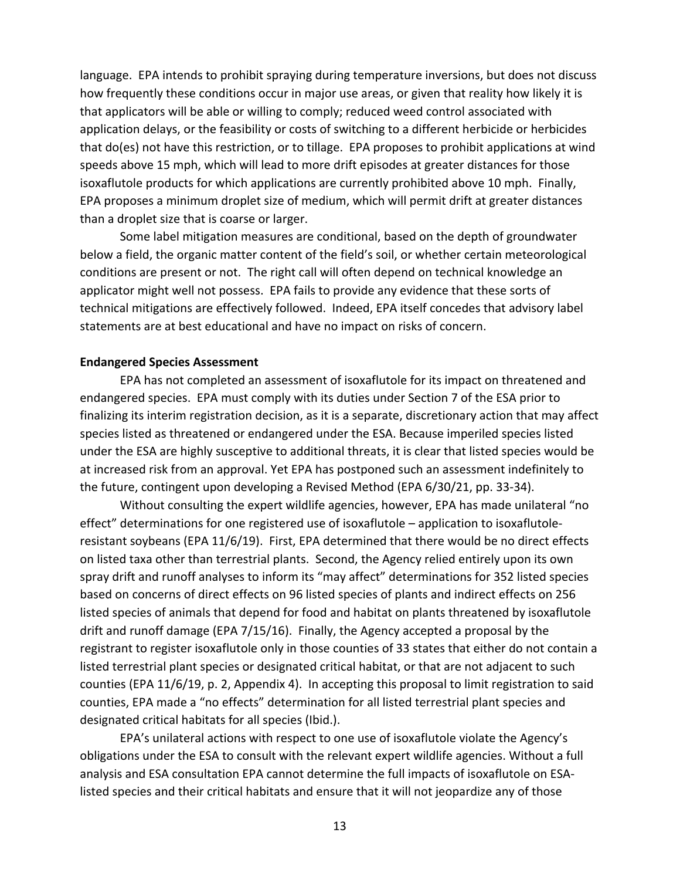language. EPA intends to prohibit spraying during temperature inversions, but does not discuss how frequently these conditions occur in major use areas, or given that reality how likely it is that applicators will be able or willing to comply; reduced weed control associated with application delays, or the feasibility or costs of switching to a different herbicide or herbicides that do(es) not have this restriction, or to tillage. EPA proposes to prohibit applications at wind speeds above 15 mph, which will lead to more drift episodes at greater distances for those isoxaflutole products for which applications are currently prohibited above 10 mph. Finally, EPA proposes a minimum droplet size of medium, which will permit drift at greater distances than a droplet size that is coarse or larger.

Some label mitigation measures are conditional, based on the depth of groundwater below a field, the organic matter content of the field's soil, or whether certain meteorological conditions are present or not. The right call will often depend on technical knowledge an applicator might well not possess. EPA fails to provide any evidence that these sorts of technical mitigations are effectively followed. Indeed, EPA itself concedes that advisory label statements are at best educational and have no impact on risks of concern.

#### **Endangered Species Assessment**

EPA has not completed an assessment of isoxaflutole for its impact on threatened and endangered species. EPA must comply with its duties under Section 7 of the ESA prior to finalizing its interim registration decision, as it is a separate, discretionary action that may affect species listed as threatened or endangered under the ESA. Because imperiled species listed under the ESA are highly susceptive to additional threats, it is clear that listed species would be at increased risk from an approval. Yet EPA has postponed such an assessment indefinitely to the future, contingent upon developing a Revised Method (EPA 6/30/21, pp. 33-34).

Without consulting the expert wildlife agencies, however, EPA has made unilateral "no effect" determinations for one registered use of isoxaflutole – application to isoxaflutoleresistant soybeans (EPA 11/6/19). First, EPA determined that there would be no direct effects on listed taxa other than terrestrial plants. Second, the Agency relied entirely upon its own spray drift and runoff analyses to inform its "may affect" determinations for 352 listed species based on concerns of direct effects on 96 listed species of plants and indirect effects on 256 listed species of animals that depend for food and habitat on plants threatened by isoxaflutole drift and runoff damage (EPA 7/15/16). Finally, the Agency accepted a proposal by the registrant to register isoxaflutole only in those counties of 33 states that either do not contain a listed terrestrial plant species or designated critical habitat, or that are not adjacent to such counties (EPA 11/6/19, p. 2, Appendix 4). In accepting this proposal to limit registration to said counties, EPA made a "no effects" determination for all listed terrestrial plant species and designated critical habitats for all species (Ibid.).

EPA's unilateral actions with respect to one use of isoxaflutole violate the Agency's obligations under the ESA to consult with the relevant expert wildlife agencies. Without a full analysis and ESA consultation EPA cannot determine the full impacts of isoxaflutole on ESAlisted species and their critical habitats and ensure that it will not jeopardize any of those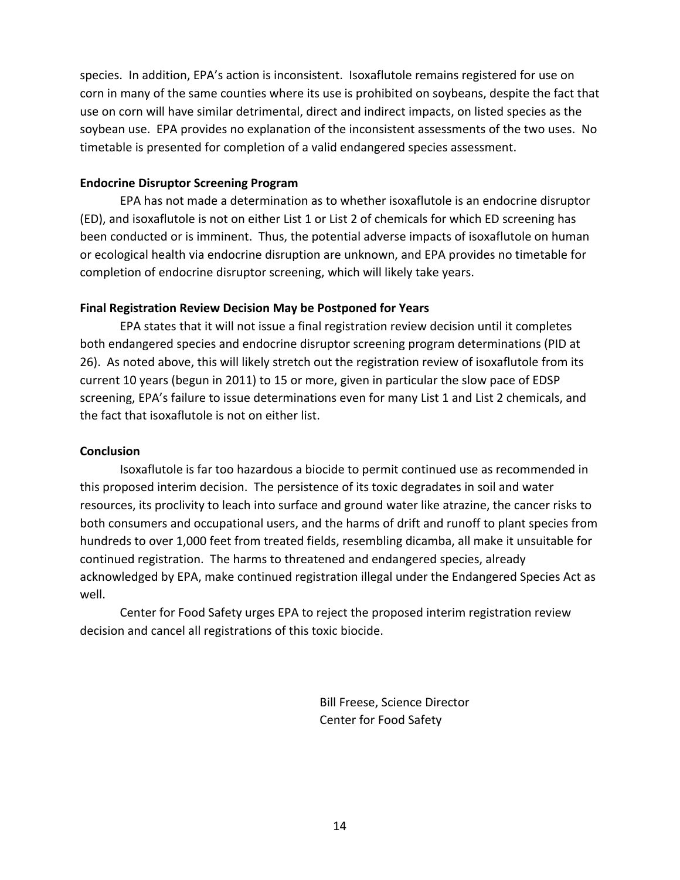species. In addition, EPA's action is inconsistent. Isoxaflutole remains registered for use on corn in many of the same counties where its use is prohibited on soybeans, despite the fact that use on corn will have similar detrimental, direct and indirect impacts, on listed species as the soybean use. EPA provides no explanation of the inconsistent assessments of the two uses. No timetable is presented for completion of a valid endangered species assessment.

### **Endocrine Disruptor Screening Program**

EPA has not made a determination as to whether isoxaflutole is an endocrine disruptor (ED), and isoxaflutole is not on either List 1 or List 2 of chemicals for which ED screening has been conducted or is imminent. Thus, the potential adverse impacts of isoxaflutole on human or ecological health via endocrine disruption are unknown, and EPA provides no timetable for completion of endocrine disruptor screening, which will likely take years.

## **Final Registration Review Decision May be Postponed for Years**

EPA states that it will not issue a final registration review decision until it completes both endangered species and endocrine disruptor screening program determinations (PID at 26). As noted above, this will likely stretch out the registration review of isoxaflutole from its current 10 years (begun in 2011) to 15 or more, given in particular the slow pace of EDSP screening, EPA's failure to issue determinations even for many List 1 and List 2 chemicals, and the fact that isoxaflutole is not on either list.

## **Conclusion**

Isoxaflutole is far too hazardous a biocide to permit continued use as recommended in this proposed interim decision. The persistence of its toxic degradates in soil and water resources, its proclivity to leach into surface and ground water like atrazine, the cancer risks to both consumers and occupational users, and the harms of drift and runoff to plant species from hundreds to over 1,000 feet from treated fields, resembling dicamba, all make it unsuitable for continued registration. The harms to threatened and endangered species, already acknowledged by EPA, make continued registration illegal under the Endangered Species Act as well.

Center for Food Safety urges EPA to reject the proposed interim registration review decision and cancel all registrations of this toxic biocide.

> Bill Freese, Science Director Center for Food Safety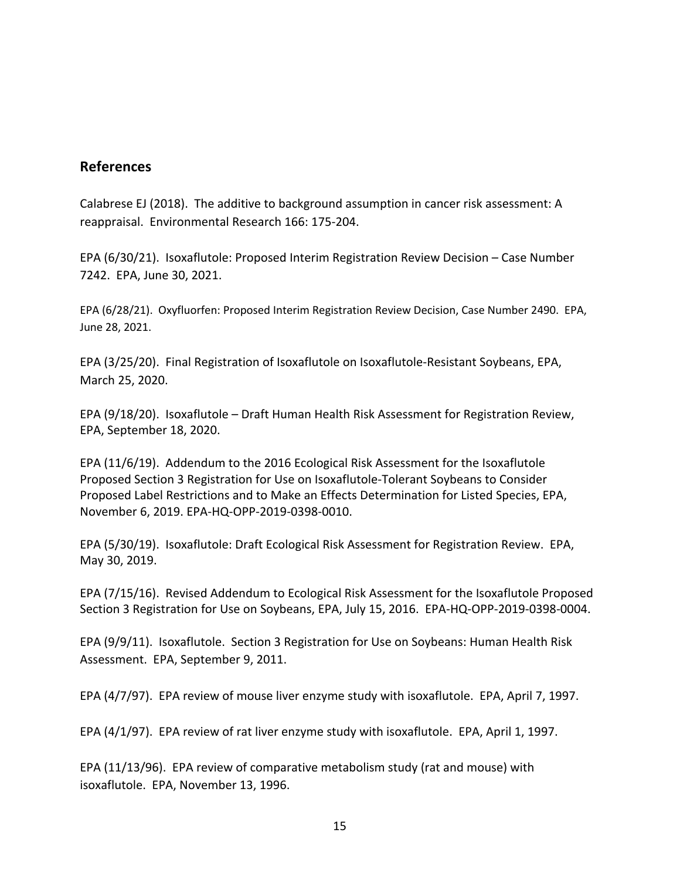## **References**

Calabrese EJ (2018). The additive to background assumption in cancer risk assessment: A reappraisal. Environmental Research 166: 175-204.

EPA (6/30/21). Isoxaflutole: Proposed Interim Registration Review Decision – Case Number 7242. EPA, June 30, 2021.

EPA (6/28/21). Oxyfluorfen: Proposed Interim Registration Review Decision, Case Number 2490. EPA, June 28, 2021.

EPA (3/25/20). Final Registration of Isoxaflutole on Isoxaflutole-Resistant Soybeans, EPA, March 25, 2020.

EPA (9/18/20). Isoxaflutole – Draft Human Health Risk Assessment for Registration Review, EPA, September 18, 2020.

EPA (11/6/19). Addendum to the 2016 Ecological Risk Assessment for the Isoxaflutole Proposed Section 3 Registration for Use on Isoxaflutole-Tolerant Soybeans to Consider Proposed Label Restrictions and to Make an Effects Determination for Listed Species, EPA, November 6, 2019. EPA-HQ-OPP-2019-0398-0010.

EPA (5/30/19). Isoxaflutole: Draft Ecological Risk Assessment for Registration Review. EPA, May 30, 2019.

EPA (7/15/16). Revised Addendum to Ecological Risk Assessment for the Isoxaflutole Proposed Section 3 Registration for Use on Soybeans, EPA, July 15, 2016. EPA-HQ-OPP-2019-0398-0004.

EPA (9/9/11). Isoxaflutole. Section 3 Registration for Use on Soybeans: Human Health Risk Assessment. EPA, September 9, 2011.

EPA (4/7/97). EPA review of mouse liver enzyme study with isoxaflutole. EPA, April 7, 1997.

EPA (4/1/97). EPA review of rat liver enzyme study with isoxaflutole. EPA, April 1, 1997.

EPA (11/13/96). EPA review of comparative metabolism study (rat and mouse) with isoxaflutole. EPA, November 13, 1996.